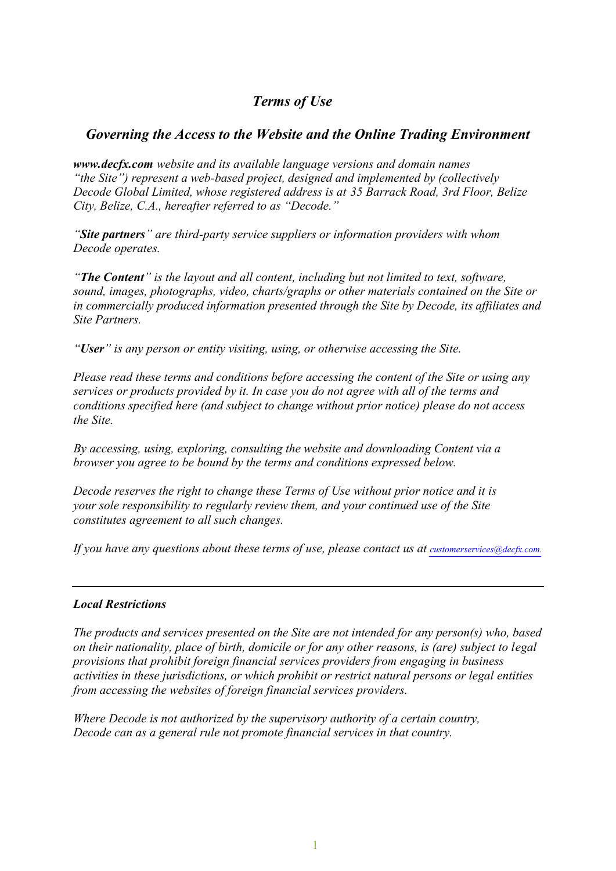# *Terms of Use*

# *Governing the Access to the Website and the Online Trading Environment*

*www.decfx.com website and its available language versions and domain names "the Site") represent a web-based project, designed and implemented by (collectively Decode Global Limited, whose registered address is at 35 Barrack Road, 3rd Floor, Belize City, Belize, C.A., hereafter referred to as "Decode."*

*"Site partners" are third-party service suppliers or information providers with whom Decode operates.*

*"The Content" is the layout and all content, including but not limited to text, software, sound, images, photographs, video, charts/graphs or other materials contained on the Site or in commercially produced information presented through the Site by Decode, its affiliates and Site Partners.* 

*"User" is any person or entity visiting, using, or otherwise accessing the Site.*

*Please read these terms and conditions before accessing the content of the Site or using any services or products provided by it. In case you do not agree with all of the terms and conditions specified here (and subject to change without prior notice) please do not access the Site.*

*By accessing, using, exploring, consulting the website and downloading Content via a browser you agree to be bound by the terms and conditions expressed below.*

*Decode reserves the right to change these Terms of Use without prior notice and it is your sole responsibility to regularly review them, and your continued use of the Site constitutes agreement to all such changes.*

*If you have any questions about these terms of use, please contact us at customerservices@decfx.com.*

# *Local Restrictions*

*The products and services presented on the Site are not intended for any person(s) who, based on their nationality, place of birth, domicile or for any other reasons, is (are) subject to legal provisions that prohibit foreign financial services providers from engaging in business activities in these jurisdictions, or which prohibit or restrict natural persons or legal entities from accessing the websites of foreign financial services providers.* 

*Where Decode is not authorized by the supervisory authority of a certain country, Decode can as a general rule not promote financial services in that country.*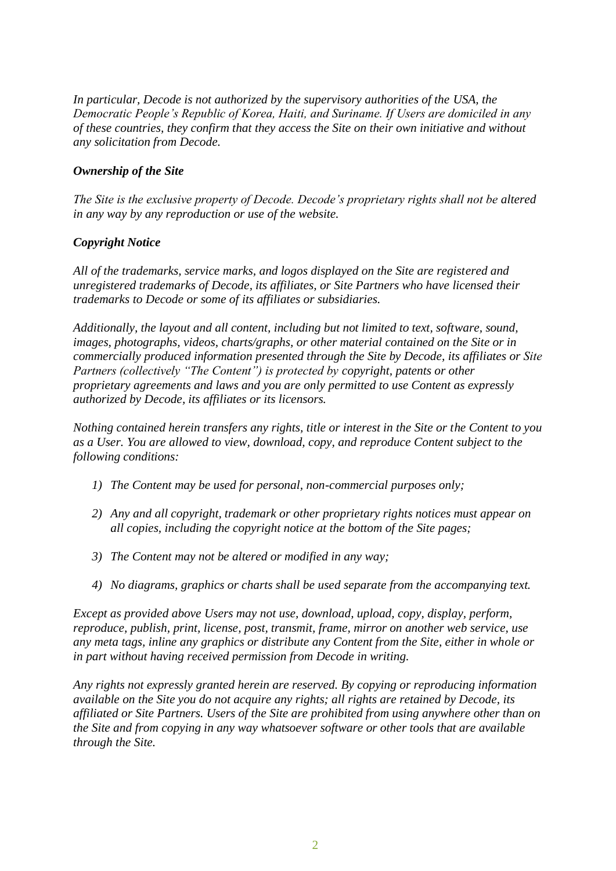*In particular, Decode is not authorized by the supervisory authorities of the USA, the Democratic People's Republic of Korea, Haiti, and Suriname. If Users are domiciled in any of these countries, they confirm that they access the Site on their own initiative and without any solicitation from Decode.*

### *Ownership of the Site*

*The Site is the exclusive property of Decode. Decode's proprietary rights shall not be altered in any way by any reproduction or use of the website.*

#### *Copyright Notice*

*All of the trademarks, service marks, and logos displayed on the Site are registered and unregistered trademarks of Decode, its affiliates, or Site Partners who have licensed their trademarks to Decode or some of its affiliates or subsidiaries.* 

*Additionally, the layout and all content, including but not limited to text, software, sound, images, photographs, videos, charts/graphs, or other material contained on the Site or in commercially produced information presented through the Site by Decode, its affiliates or Site Partners (collectively "The Content") is protected by copyright, patents or other proprietary agreements and laws and you are only permitted to use Content as expressly authorized by Decode, its affiliates or its licensors.*

*Nothing contained herein transfers any rights, title or interest in the Site or the Content to you as a User. You are allowed to view, download, copy, and reproduce Content subject to the following conditions:*

- *1) The Content may be used for personal, non-commercial purposes only;*
- *2) Any and all copyright, trademark or other proprietary rights notices must appear on all copies, including the copyright notice at the bottom of the Site pages;*
- *3) The Content may not be altered or modified in any way;*
- *4) No diagrams, graphics or charts shall be used separate from the accompanying text.*

*Except as provided above Users may not use, download, upload, copy, display, perform, reproduce, publish, print, license, post, transmit, frame, mirror on another web service, use any meta tags, inline any graphics or distribute any Content from the Site, either in whole or in part without having received permission from Decode in writing.*

*Any rights not expressly granted herein are reserved. By copying or reproducing information available on the Site you do not acquire any rights; all rights are retained by Decode, its affiliated or Site Partners. Users of the Site are prohibited from using anywhere other than on the Site and from copying in any way whatsoever software or other tools that are available through the Site.*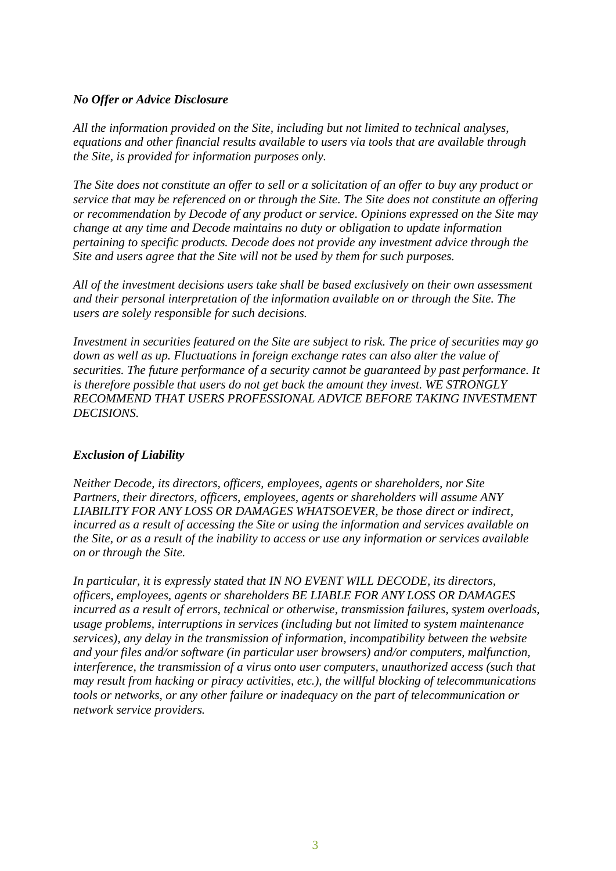#### *No Offer or Advice Disclosure*

*All the information provided on the Site, including but not limited to technical analyses, equations and other financial results available to users via tools that are available through the Site, is provided for information purposes only.*

*The Site does not constitute an offer to sell or a solicitation of an offer to buy any product or service that may be referenced on or through the Site. The Site does not constitute an offering or recommendation by Decode of any product or service. Opinions expressed on the Site may change at any time and Decode maintains no duty or obligation to update information pertaining to specific products. Decode does not provide any investment advice through the Site and users agree that the Site will not be used by them for such purposes.*

*All of the investment decisions users take shall be based exclusively on their own assessment and their personal interpretation of the information available on or through the Site. The users are solely responsible for such decisions.*

*Investment in securities featured on the Site are subject to risk. The price of securities may go down as well as up. Fluctuations in foreign exchange rates can also alter the value of securities. The future performance of a security cannot be guaranteed by past performance. It is therefore possible that users do not get back the amount they invest. WE STRONGLY RECOMMEND THAT USERS PROFESSIONAL ADVICE BEFORE TAKING INVESTMENT DECISIONS.*

# *Exclusion of Liability*

*Neither Decode, its directors, officers, employees, agents or shareholders, nor Site Partners, their directors, officers, employees, agents or shareholders will assume ANY LIABILITY FOR ANY LOSS OR DAMAGES WHATSOEVER, be those direct or indirect, incurred as a result of accessing the Site or using the information and services available on the Site, or as a result of the inability to access or use any information or services available on or through the Site.*

*In particular, it is expressly stated that IN NO EVENT WILL DECODE, its directors, officers, employees, agents or shareholders BE LIABLE FOR ANY LOSS OR DAMAGES incurred as a result of errors, technical or otherwise, transmission failures, system overloads, usage problems, interruptions in services (including but not limited to system maintenance services), any delay in the transmission of information, incompatibility between the website and your files and/or software (in particular user browsers) and/or computers, malfunction, interference, the transmission of a virus onto user computers, unauthorized access (such that may result from hacking or piracy activities, etc.), the willful blocking of telecommunications tools or networks, or any other failure or inadequacy on the part of telecommunication or network service providers.*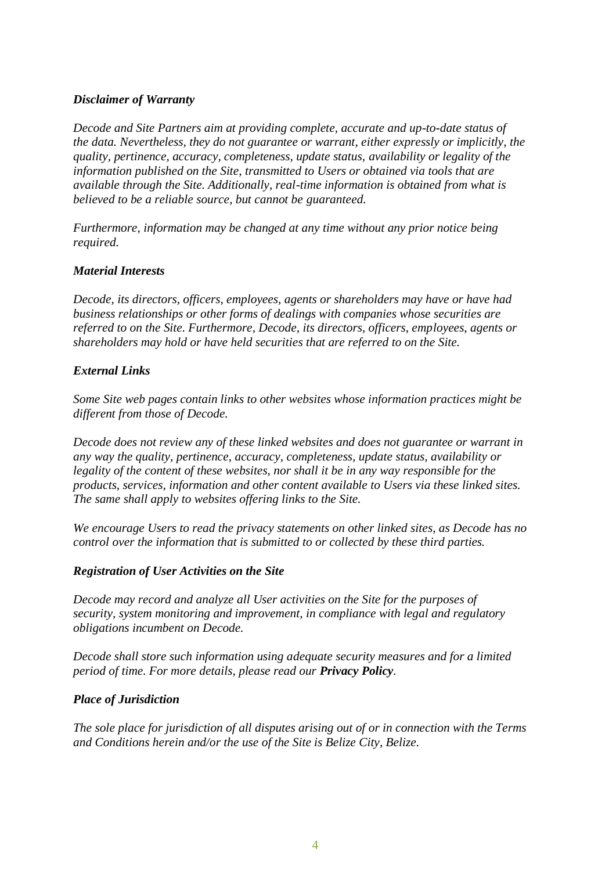#### *Disclaimer of Warranty*

*Decode and Site Partners aim at providing complete, accurate and up-to-date status of the data. Nevertheless, they do not guarantee or warrant, either expressly or implicitly, the quality, pertinence, accuracy, completeness, update status, availability or legality of the information published on the Site, transmitted to Users or obtained via tools that are available through the Site. Additionally, real-time information is obtained from what is believed to be a reliable source, but cannot be guaranteed.*

*Furthermore, information may be changed at any time without any prior notice being required.*

#### *Material Interests*

*Decode, its directors, officers, employees, agents or shareholders may have or have had business relationships or other forms of dealings with companies whose securities are referred to on the Site. Furthermore, Decode, its directors, officers, employees, agents or shareholders may hold or have held securities that are referred to on the Site.*

#### *External Links*

*Some Site web pages contain links to other websites whose information practices might be different from those of Decode.*

*Decode does not review any of these linked websites and does not guarantee or warrant in any way the quality, pertinence, accuracy, completeness, update status, availability or legality of the content of these websites, nor shall it be in any way responsible for the products, services, information and other content available to Users via these linked sites. The same shall apply to websites offering links to the Site.*

*We encourage Users to read the privacy statements on other linked sites, as Decode has no control over the information that is submitted to or collected by these third parties.*

#### *Registration of User Activities on the Site*

*Decode may record and analyze all User activities on the Site for the purposes of security, system monitoring and improvement, in compliance with legal and regulatory obligations incumbent on Decode.*

*Decode shall store such information using adequate security measures and for a limited period of time. For more details, please read our Privacy Policy.*

#### *Place of Jurisdiction*

*The sole place for jurisdiction of all disputes arising out of or in connection with the Terms and Conditions herein and/or the use of the Site is Belize City, Belize.*